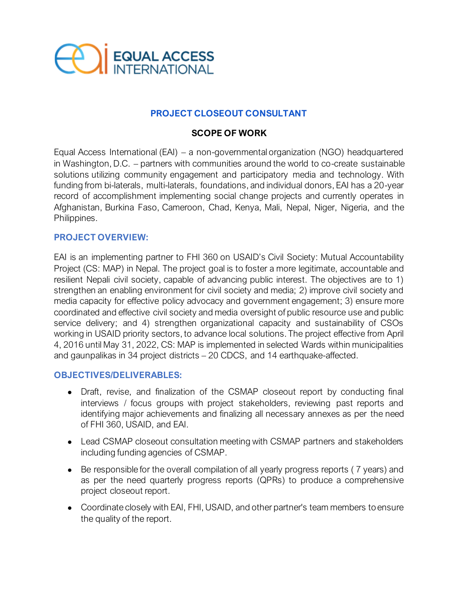

# **PROJECT CLOSEOUT CONSULTANT**

### **SCOPE OF WORK**

Equal Access International (EAI) – a non-governmental organization (NGO) headquartered in Washington, D.C. – partners with communities around the world to co-create sustainable solutions utilizing community engagement and participatory media and technology. With funding from bi-laterals, multi-laterals, foundations, and individual donors, EAI has a 20-year record of accomplishment implementing social change projects and currently operates in Afghanistan, Burkina Faso, Cameroon, Chad, Kenya, Mali, Nepal, Niger, Nigeria, and the Philippines.

#### **PROJECT OVERVIEW:**

EAI is an implementing partner to FHI 360 on USAID's Civil Society: Mutual Accountability Project (CS: MAP) in Nepal. The project goal is to foster a more legitimate, accountable and resilient Nepali civil society, capable of advancing public interest. The objectives are to 1) strengthen an enabling environment for civil society and media; 2) improve civil society and media capacity for effective policy advocacy and government engagement; 3) ensure more coordinated and effective civil society and media oversight of public resource use and public service delivery; and 4) strengthen organizational capacity and sustainability of CSOs working in USAID priority sectors, to advance local solutions. The project effective from April 4, 2016 until May 31, 2022, CS: MAP is implemented in selected Wards within municipalities and gaunpalikas in 34 project districts – 20 CDCS, and 14 earthquake-affected.

#### **OBJECTIVES/DELIVERABLES:**

- Draft, revise, and finalization of the CSMAP closeout report by conducting final interviews / focus groups with project stakeholders, reviewing past reports and identifying major achievements and finalizing all necessary annexes as per the need of FHI 360, USAID, and EAI.
- Lead CSMAP closeout consultation meeting with CSMAP partners and stakeholders including funding agencies of CSMAP.
- Be responsible for the overall compilation of all yearly progress reports ( 7 years) and as per the need quarterly progress reports (QPRs) to produce a comprehensive project closeout report.
- Coordinate closely with EAI, FHI, USAID, and other partner's team members to ensure the quality of the report.